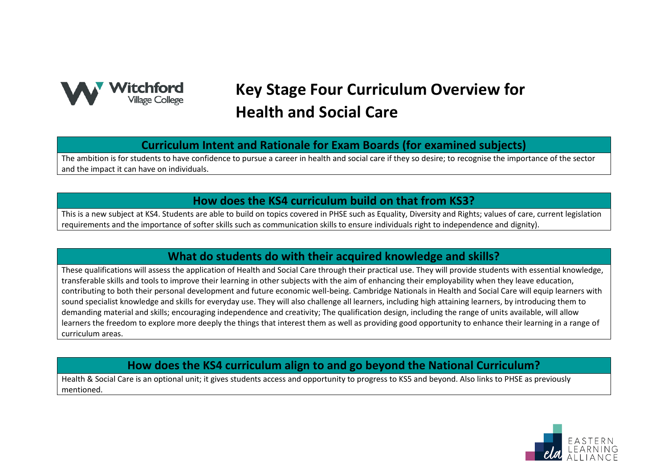

# **Key Stage Four Curriculum Overview for Health and Social Care**

**Curriculum Intent and Rationale for Exam Boards (for examined subjects)**

The ambition is for students to have confidence to pursue a career in health and social care if they so desire; to recognise the importance of the sector and the impact it can have on individuals.

### **How does the KS4 curriculum build on that from KS3?**

This is a new subject at KS4. Students are able to build on topics covered in PHSE such as Equality, Diversity and Rights; values of care, current legislation requirements and the importance of softer skills such as communication skills to ensure individuals right to independence and dignity).

### **What do students do with their acquired knowledge and skills?**

These qualifications will assess the application of Health and Social Care through their practical use. They will provide students with essential knowledge, transferable skills and tools to improve their learning in other subjects with the aim of enhancing their employability when they leave education, contributing to both their personal development and future economic well-being. Cambridge Nationals in Health and Social Care will equip learners with sound specialist knowledge and skills for everyday use. They will also challenge all learners, including high attaining learners, by introducing them to demanding material and skills; encouraging independence and creativity; The qualification design, including the range of units available, will allow learners the freedom to explore more deeply the things that interest them as well as providing good opportunity to enhance their learning in a range of curriculum areas.

## **How does the KS4 curriculum align to and go beyond the National Curriculum?**

Health & Social Care is an optional unit; it gives students access and opportunity to progress to KS5 and beyond. Also links to PHSE as previously mentioned.